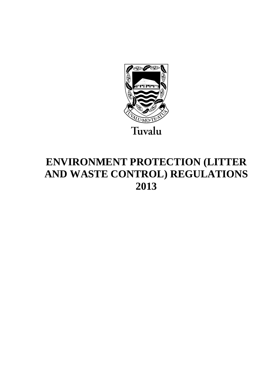

# **ENVIRONMENT PROTECTION (LITTER AND WASTE CONTROL) REGULATIONS 2013**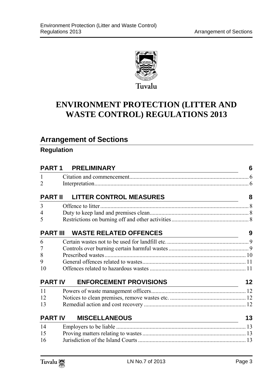

### **ENVIRONMENT PROTECTION (LITTER AND WASTE CONTROL) REGULATIONS 2013**

### **Arrangement of Sections**

#### **Regulation**

| <b>PART 1</b>  | <b>PRELIMINARY</b><br><u> 1989 - Johann Stein, marwolaethau a bhann an t-Amhair an t-Amhair an t-Amhair an t-Amhair an t-Amhair an t-A</u>             | 6       |
|----------------|--------------------------------------------------------------------------------------------------------------------------------------------------------|---------|
| 1              |                                                                                                                                                        |         |
| $\overline{2}$ |                                                                                                                                                        |         |
| <b>PART II</b> | <b>LITTER CONTROL MEASURES</b><br><u> 1980 - Johann Barn, mars eta bainar eta bainar eta baina eta baina eta baina eta baina eta baina eta baina e</u> | 8       |
| 3              | Offence to litter                                                                                                                                      |         |
| 4              |                                                                                                                                                        |         |
| 5              |                                                                                                                                                        |         |
|                | <b>PART III WASTE RELATED OFFENCES</b>                                                                                                                 | 9       |
| 6              |                                                                                                                                                        |         |
|                |                                                                                                                                                        |         |
| 8              |                                                                                                                                                        |         |
| 9              |                                                                                                                                                        |         |
| 10             |                                                                                                                                                        |         |
| <b>PART IV</b> | <b>ENFORCEMENT PROVISIONS</b><br><u> 1980 - Johann Barn, mars eta bainar eta bainar eta baina eta baina eta baina eta baina eta baina eta baina e</u>  | $12 \,$ |
| 11             |                                                                                                                                                        |         |
| 12             |                                                                                                                                                        |         |
| 13             |                                                                                                                                                        |         |
| <b>PART IV</b> | 13                                                                                                                                                     |         |
| 14             |                                                                                                                                                        |         |
| 15             |                                                                                                                                                        |         |
| 16             |                                                                                                                                                        |         |

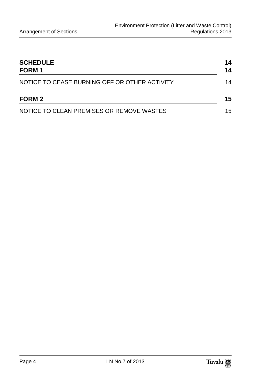| <b>SCHEDULE</b><br><b>FORM1</b><br>NOTICE TO CEASE BURNING OFF OR OTHER ACTIVITY |    |
|----------------------------------------------------------------------------------|----|
|                                                                                  |    |
| NOTICE TO CLEAN PREMISES OR REMOVE WASTES                                        | 15 |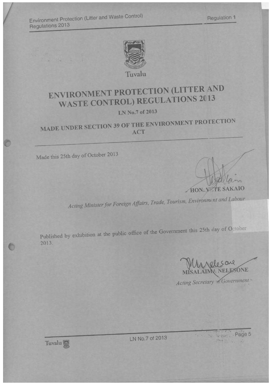Environment Protection (Litter and Waste Control) **Regulations 2013** 

 $21 -$ 



Tuvalu

# ENVIRONMENT PROTECTION (LITTER AND **WASTE CONTROL) REGULATIONS 2013**

### LN No.7 of 2013

## MADE UNDER SECTION 39 OF THE ENVIRONMENT PROTECTION ACT

Made this 25th day of October 2013

HON. VETE SAKAIO

Acting Minister for Foreign Affairs, Trade, Tourism, Environment and Labour

Published by exhibition at the public office of the Government this 25th day of October 2013.

SONE

Acting Secretary 16 Government



LN No.7 of 2013

Wir Wright Page 5  $\label{eq:3.1} \mathcal{L}^{\text{N}}(\mathbb{R}^d) = \mathcal{L}^{\text{N}}(\mathbb{R}^d) \quad \text{and} \quad \mathcal{L}^{\text{N}}(\mathbb{R}^d) = \mathcal{L}^{\text{N}}(\mathbb{R}^d) \quad \text{and} \quad \mathcal{L}^{\text{N}}(\mathbb{R}^d) = \mathcal{L}^{\text{N}}(\mathbb{R}^d) \quad \text{and} \quad \mathcal{L}^{\text{N}}(\mathbb{R}^d) = \mathcal{L}^{\text{N}}(\mathbb{R}^d) \quad \text{and} \quad \mathcal$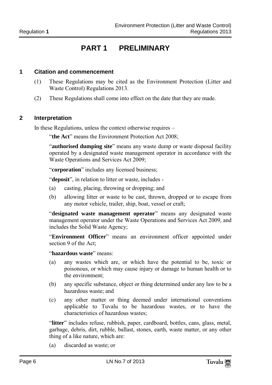### **PART 1 PRELIMINARY**

#### **1 Citation and commencement**

- (1) These Regulations may be cited as the Environment Protection (Litter and Waste Control) Regulations 2013.
- (2) These Regulations shall come into effect on the date that they are made.

#### **2 Interpretation**

In these Regulations, unless the context otherwise requires –

"the Act" means the Environment Protection Act 2008;

"**authorised dumping site**" means any waste dump or waste disposal facility operated by a designated waste management operator in accordance with the Waste Operations and Services Act 2009;

"**corporation**" includes any licensed business;

"**deposit**", in relation to litter or waste, includes -

- (a) casting, placing, throwing or dropping; and
- (b) allowing litter or waste to be cast, thrown, dropped or to escape from any motor vehicle, trailer, ship, boat, vessel or craft;

"**designated waste management operator**" means any designated waste management operator under the Waste Operations and Services Act 2009, and includes the Solid Waste Agency;

"**Environment Officer**" means an environment officer appointed under section 9 of the Act;

"**hazardous waste**" means:

- (a) any wastes which are, or which have the potential to be, toxic or poisonous, or which may cause injury or damage to human health or to the environment;
- (b) any specific substance, object or thing determined under any law to be a hazardous waste; and
- (c) any other matter or thing deemed under international conventions applicable to Tuvalu to be hazardous wastes, or to have the characteristics of hazardous wastes;

"**litter**" includes refuse, rubbish, paper, cardboard, bottles, cans, glass, metal, garbage, debris, dirt, rubble, ballast, stones, earth, waste matter, or any other thing of a like nature, which are:

(a) discarded as waste; or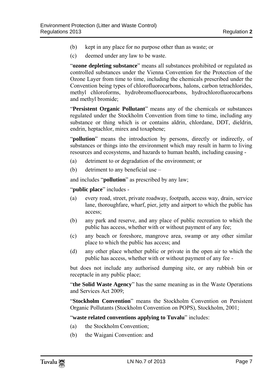- (b) kept in any place for no purpose other than as waste; or
- (c) deemed under any law to be waste.

"**ozone depleting substance**" means all substances prohibited or regulated as controlled substances under the Vienna Convention for the Protection of the Ozone Layer from time to time, including the chemicals prescribed under the Convention being types of chlorofluorocarbons, halons, carbon tetrachlorides, methyl chloroforms, hydrobromofluorocarbons, hydrochlorofluorocarbons and methyl bromide;

"**Persistent Organic Pollutant**" means any of the chemicals or substances regulated under the Stockholm Convention from time to time, including any substance or thing which is or contains aldrin, chlordane, DDT, dieldrin, endrin, heptachlor, mirex and toxaphene;

"**pollution**" means the introduction by persons, directly or indirectly, of substances or things into the environment which may result in harm to living resources and ecosystems, and hazards to human health, including causing -

- (a) detriment to or degradation of the environment; or
- (b) detriment to any beneficial use –

and includes "**pollution**" as prescribed by any law;

"**public place**" includes -

- (a) every road, street, private roadway, footpath, access way, drain, service lane, thoroughfare, wharf, pier, jetty and airport to which the public has access;
- (b) any park and reserve, and any place of public recreation to which the public has access, whether with or without payment of any fee;
- (c) any beach or foreshore, mangrove area, swamp or any other similar place to which the public has access; and
- (d) any other place whether public or private in the open air to which the public has access, whether with or without payment of any fee -

but does not include any authorised dumping site, or any rubbish bin or receptacle in any public place;

"**the Solid Waste Agency**" has the same meaning as in the Waste Operations and Services Act 2009;

"**Stockholm Convention**" means the Stockholm Convention on Persistent Organic Pollutants (Stockholm Convention on POPS), Stockholm, 2001;

"**waste related conventions applying to Tuvalu**" includes:

- (a) the Stockholm Convention;
- (b) the Waigani Convention: and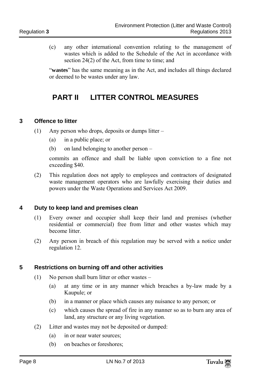(c) any other international convention relating to the management of wastes which is added to the Schedule of the Act in accordance with section 24(2) of the Act, from time to time; and

"**wastes**" has the same meaning as in the Act, and includes all things declared or deemed to be wastes under any law.

### **PART II LITTER CONTROL MEASURES**

#### **3 Offence to litter**

- (1) Any person who drops, deposits or dumps litter
	- (a) in a public place; or
	- (b) on land belonging to another person –

commits an offence and shall be liable upon conviction to a fine not exceeding \$40.

(2) This regulation does not apply to employees and contractors of designated waste management operators who are lawfully exercising their duties and powers under the Waste Operations and Services Act 2009.

#### **4 Duty to keep land and premises clean**

- (1) Every owner and occupier shall keep their land and premises (whether residential or commercial) free from litter and other wastes which may become litter.
- (2) Any person in breach of this regulation may be served with a notice under regulation 12.

#### **5 Restrictions on burning off and other activities**

- (1) No person shall burn litter or other wastes
	- (a) at any time or in any manner which breaches a by-law made by a Kaupule; or
	- (b) in a manner or place which causes any nuisance to any person; or
	- (c) which causes the spread of fire in any manner so as to burn any area of land, any structure or any living vegetation.
- (2) Litter and wastes may not be deposited or dumped:
	- (a) in or near water sources;
	- (b) on beaches or foreshores;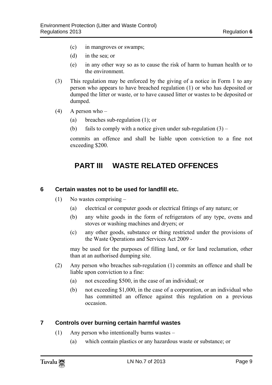- (c) in mangroves or swamps;
- (d) in the sea; or
- (e) in any other way so as to cause the risk of harm to human health or to the environment.
- (3) This regulation may be enforced by the giving of a notice in Form 1 to any person who appears to have breached regulation (1) or who has deposited or dumped the litter or waste, or to have caused litter or wastes to be deposited or dumped.
- (4) A person who  $-$ 
	- (a) breaches sub-regulation (1); or
	- (b) fails to comply with a notice given under sub-regulation  $(3)$  –

commits an offence and shall be liable upon conviction to a fine not exceeding \$200.

### **PART III WASTE RELATED OFFENCES**

#### **6 Certain wastes not to be used for landfill etc.**

- (1) No wastes comprising
	- (a) electrical or computer goods or electrical fittings of any nature; or
	- (b) any white goods in the form of refrigerators of any type, ovens and stoves or washing machines and dryers; or
	- (c) any other goods, substance or thing restricted under the provisions of the Waste Operations and Services Act 2009 -

may be used for the purposes of filling land, or for land reclamation, other than at an authorised dumping site.

- (2) Any person who breaches sub-regulation (1) commits an offence and shall be liable upon conviction to a fine:
	- (a) not exceeding \$500, in the case of an individual; or
	- (b) not exceeding \$1,000, in the case of a corporation, or an individual who has committed an offence against this regulation on a previous occasion.

#### **7 Controls over burning certain harmful wastes**

- (1) Any person who intentionally burns wastes
	- (a) which contain plastics or any hazardous waste or substance; or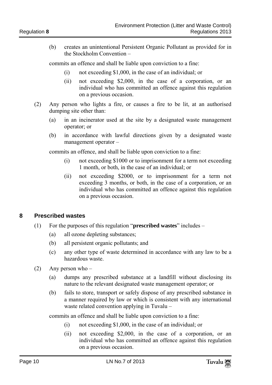(b) creates an unintentional Persistent Organic Pollutant as provided for in the Stockholm Convention –

commits an offence and shall be liable upon conviction to a fine:

- (i) not exceeding \$1,000, in the case of an individual; or
- (ii) not exceeding \$2,000, in the case of a corporation, or an individual who has committed an offence against this regulation on a previous occasion.
- (2) Any person who lights a fire, or causes a fire to be lit, at an authorised dumping site other than:
	- (a) in an incinerator used at the site by a designated waste management operator; or
	- (b) in accordance with lawful directions given by a designated waste management operator –

commits an offence, and shall be liable upon conviction to a fine:

- (i) not exceeding \$1000 or to imprisonment for a term not exceeding 1 month, or both, in the case of an individual; or
- (ii) not exceeding \$2000, or to imprisonment for a term not exceeding 3 months, or both, in the case of a corporation, or an individual who has committed an offence against this regulation on a previous occasion.

#### **8 Prescribed wastes**

- (1) For the purposes of this regulation "**prescribed wastes**" includes
	- (a) all ozone depleting substances;
	- (b) all persistent organic pollutants; and
	- (c) any other type of waste determined in accordance with any law to be a hazardous waste.
- (2) Any person who
	- (a) dumps any prescribed substance at a landfill without disclosing its nature to the relevant designated waste management operator; or
	- (b) fails to store, transport or safely dispose of any prescribed substance in a manner required by law or which is consistent with any international waste related convention applying in Tuvalu –

commits an offence and shall be liable upon conviction to a fine:

- (i) not exceeding \$1,000, in the case of an individual; or
- (ii) not exceeding \$2,000, in the case of a corporation, or an individual who has committed an offence against this regulation on a previous occasion.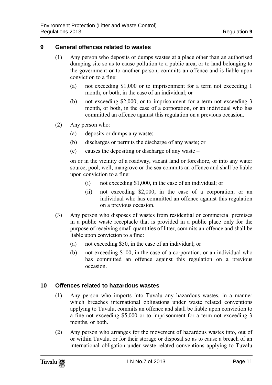#### **9 General offences related to wastes**

- (1) Any person who deposits or dumps wastes at a place other than an authorised dumping site so as to cause pollution to a public area, or to land belonging to the government or to another person, commits an offence and is liable upon conviction to a fine:
	- (a) not exceeding \$1,000 or to imprisonment for a term not exceeding 1 month, or both, in the case of an individual; or
	- (b) not exceeding \$2,000, or to imprisonment for a term not exceeding 3 month, or both, in the case of a corporation, or an individual who has committed an offence against this regulation on a previous occasion.
- (2) Any person who:
	- (a) deposits or dumps any waste;
	- (b) discharges or permits the discharge of any waste; or
	- (c) causes the depositing or discharge of any waste –

on or in the vicinity of a roadway, vacant land or foreshore, or into any water source, pool, well, mangrove or the sea commits an offence and shall be liable upon conviction to a fine:

- (i) not exceeding \$1,000, in the case of an individual; or
- (ii) not exceeding \$2,000, in the case of a corporation, or an individual who has committed an offence against this regulation on a previous occasion.
- (3) Any person who disposes of wastes from residential or commercial premises in a public waste receptacle that is provided in a public place only for the purpose of receiving small quantities of litter, commits an offence and shall be liable upon conviction to a fine:
	- (a) not exceeding \$50, in the case of an individual; or
	- (b) not exceeding \$100, in the case of a corporation, or an individual who has committed an offence against this regulation on a previous occasion.

#### **10 Offences related to hazardous wastes**

- (1) Any person who imports into Tuvalu any hazardous wastes, in a manner which breaches international obligations under waste related conventions applying to Tuvalu, commits an offence and shall be liable upon conviction to a fine not exceeding \$5,000 or to imprisonment for a term not exceeding 3 months, or both.
- (2) Any person who arranges for the movement of hazardous wastes into, out of or within Tuvalu, or for their storage or disposal so as to cause a breach of an international obligation under waste related conventions applying to Tuvalu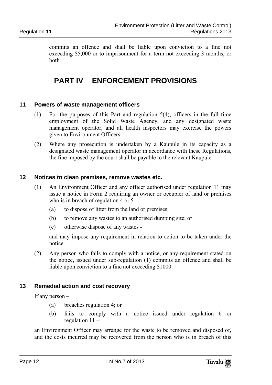commits an offence and shall be liable upon conviction to a fine not exceeding \$5,000 or to imprisonment for a term not exceeding 3 months, or both.

### **PART IV ENFORCEMENT PROVISIONS**

#### **11 Powers of waste management officers**

- (1) For the purposes of this Part and regulation 5(4), officers in the full time employment of the Solid Waste Agency, and any designated waste management operator, and all health inspectors may exercise the powers given to Environment Officers.
- (2) Where any prosecution is undertaken by a Kaupule in its capacity as a designated waste management operator in accordance with these Regulations, the fine imposed by the court shall be payable to the relevant Kaupule.

#### **12 Notices to clean premises, remove wastes etc.**

- (1) An Environment Officer and any officer authorised under regulation 11 may issue a notice in Form 2 requiring an owner or occupier of land or premises who is in breach of regulation 4 or  $5 -$ 
	- (a) to dispose of litter from the land or premises;
	- (b) to remove any wastes to an authorised dumping site; or
	- (c) otherwise dispose of any wastes -

and may impose any requirement in relation to action to be taken under the notice.

(2) Any person who fails to comply with a notice, or any requirement stated on the notice, issued under sub-regulation (1) commits an offence and shall be liable upon conviction to a fine not exceeding \$1000.

#### **13 Remedial action and cost recovery**

If any person –

- (a) breaches regulation 4; or
- (b) fails to comply with a notice issued under regulation 6 or regulation 11 –

an Environment Officer may arrange for the waste to be removed and disposed of, and the costs incurred may be recovered from the person who is in breach of this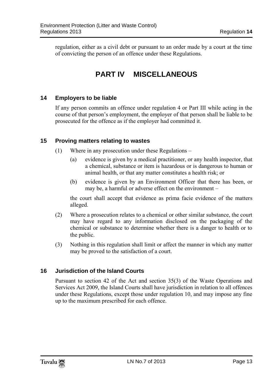regulation, either as a civil debt or pursuant to an order made by a court at the time of convicting the person of an offence under these Regulations.

### **PART IV MISCELLANEOUS**

#### **14 Employers to be liable**

If any person commits an offence under regulation 4 or Part III while acting in the course of that person's employment, the employer of that person shall be liable to be prosecuted for the offence as if the employer had committed it.

#### **15 Proving matters relating to wastes**

- (1) Where in any prosecution under these Regulations
	- (a) evidence is given by a medical practitioner, or any health inspector, that a chemical, substance or item is hazardous or is dangerous to human or animal health, or that any matter constitutes a health risk; or
	- (b) evidence is given by an Environment Officer that there has been, or may be, a harmful or adverse effect on the environment –

the court shall accept that evidence as prima facie evidence of the matters alleged.

- (2) Where a prosecution relates to a chemical or other similar substance, the court may have regard to any information disclosed on the packaging of the chemical or substance to determine whether there is a danger to health or to the public.
- (3) Nothing in this regulation shall limit or affect the manner in which any matter may be proved to the satisfaction of a court.

#### **16 Jurisdiction of the Island Courts**

Pursuant to section 42 of the Act and section 35(3) of the Waste Operations and Services Act 2009, the Island Courts shall have jurisdiction in relation to all offences under these Regulations, except those under regulation 10, and may impose any fine up to the maximum prescribed for each offence.

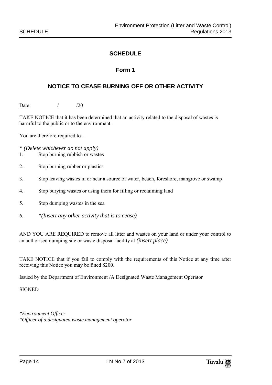#### **SCHEDULE**

#### **Form 1**

#### **NOTICE TO CEASE BURNING OFF OR OTHER ACTIVITY**

Date: / /20

TAKE NOTICE that it has been determined that an activity related to the disposal of wastes is harmful to the public or to the environment.

You are therefore required to –

*\* (Delete whichever do not apply)* 

- 1. Stop burning rubbish or wastes
- 2. Stop burning rubber or plastics
- 3. Stop leaving wastes in or near a source of water, beach, foreshore, mangrove or swamp
- 4. Stop burying wastes or using them for filling or reclaiming land
- 5. Stop dumping wastes in the sea
- 6. *\*(Insert any other activity that is to cease)*

AND YOU ARE REQUIRED to remove all litter and wastes on your land or under your control to an authorised dumping site or waste disposal facility at *(insert place)* 

TAKE NOTICE that if you fail to comply with the requirements of this Notice at any time after receiving this Notice you may be fined \$200.

Issued by the Department of Environment /A Designated Waste Management Operator

**SIGNED** 

*\*Environment Officer \*Officer of a designated waste management operator*